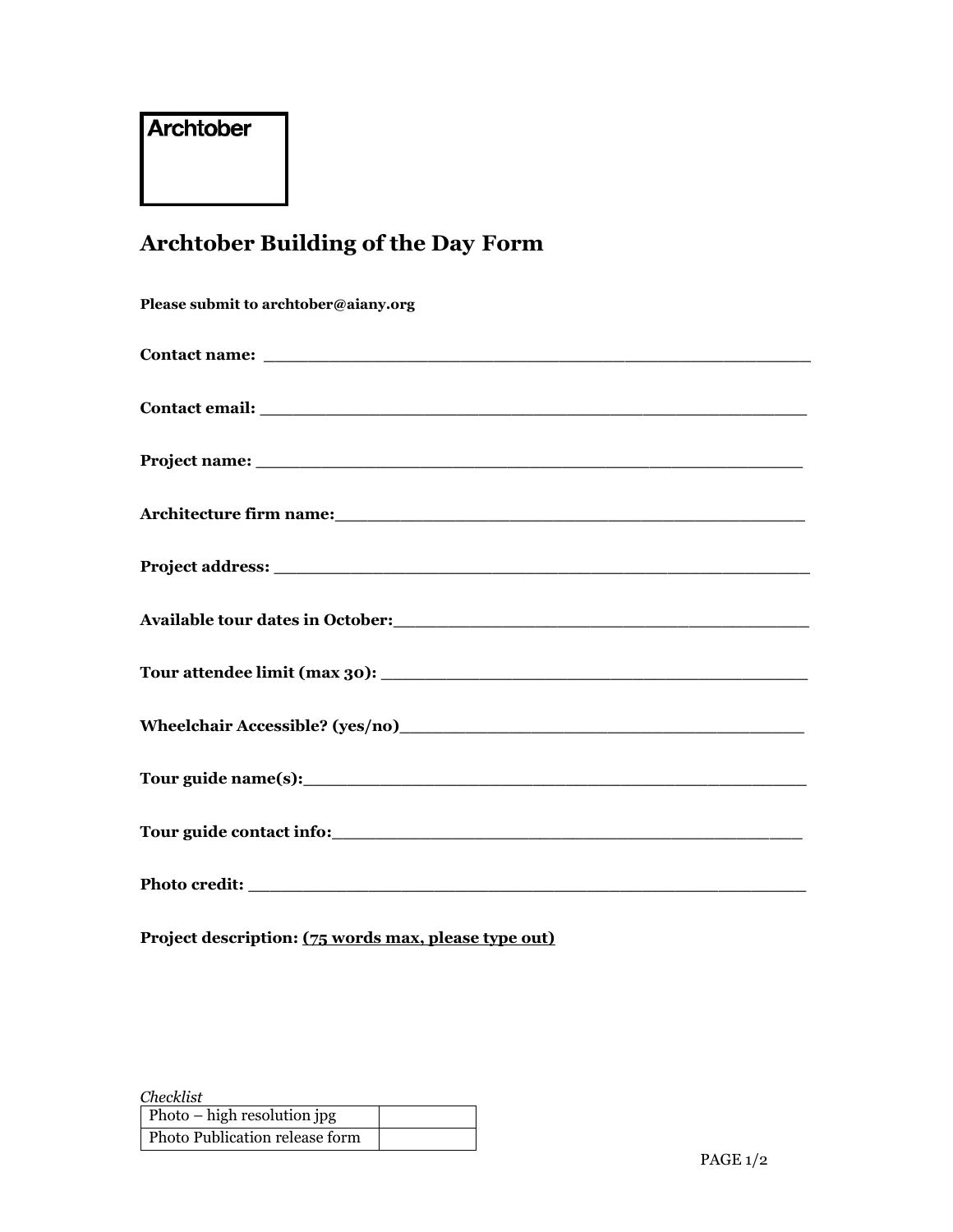## **Archtober**

# **Archtober Building of the Day Form**

| Please submit to archtober@aiany.org                                                                                                                                                                                                  |
|---------------------------------------------------------------------------------------------------------------------------------------------------------------------------------------------------------------------------------------|
|                                                                                                                                                                                                                                       |
|                                                                                                                                                                                                                                       |
|                                                                                                                                                                                                                                       |
| Architecture firm name: Manual Architecture firm name:                                                                                                                                                                                |
|                                                                                                                                                                                                                                       |
| Available tour dates in October:<br><u> and</u> the contract of the contract of the contract of the contract of the contract of the contract of the contract of the contract of the contract of the contract of the contract of the c |
|                                                                                                                                                                                                                                       |
|                                                                                                                                                                                                                                       |
|                                                                                                                                                                                                                                       |
|                                                                                                                                                                                                                                       |
|                                                                                                                                                                                                                                       |
|                                                                                                                                                                                                                                       |

**Project description: (75 words max, please type out)**

| <i>Checklist</i>               |  |
|--------------------------------|--|
| Photo – high resolution jpg    |  |
| Photo Publication release form |  |